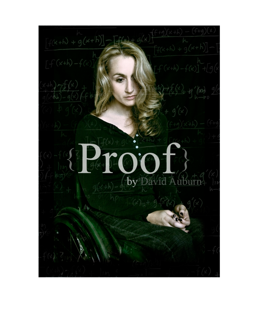$(x+b)+g(x+b)$ 100 by David Auburn